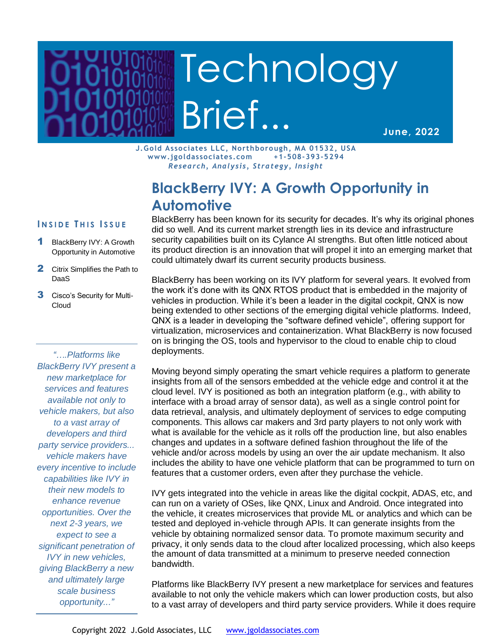# Technology Brief...

**June, 2022**

**J.Gold Associates LLC, Northborough, MA 01532, USA www.jgoldassociates.com +1-508-393-5294** *Research, Analysis, Strategy, Insight*

# **BlackBerry IVY: A Growth Opportunity in Automotive**

### **I N S I D E T H I S I S S U E**

- 1 BlackBerry IVY: A Growth Opportunity in Automotive
- 2 Citrix Simplifies the Path to DaaS
- 3 Cisco's Security for Multi-Cloud

*"….Platforms like BlackBerry IVY present a new marketplace for services and features available not only to vehicle makers, but also to a vast array of developers and third party service providers... vehicle makers have every incentive to include capabilities like IVY in their new models to enhance revenue opportunities. Over the next 2-3 years, we expect to see a significant penetration of IVY in new vehicles, giving BlackBerry a new and ultimately large scale business opportunity..."*

BlackBerry has been known for its security for decades. It's why its original phones did so well. And its current market strength lies in its device and infrastructure security capabilities built on its Cylance AI strengths. But often little noticed about its product direction is an innovation that will propel it into an emerging market that could ultimately dwarf its current security products business.

BlackBerry has been working on its IVY platform for several years. It evolved from the work it's done with its QNX RTOS product that is embedded in the majority of vehicles in production. While it's been a leader in the digital cockpit, QNX is now being extended to other sections of the emerging digital vehicle platforms. Indeed, QNX is a leader in developing the "software defined vehicle", offering support for virtualization, microservices and containerization. What BlackBerry is now focused on is bringing the OS, tools and hypervisor to the cloud to enable chip to cloud deployments.

Moving beyond simply operating the smart vehicle requires a platform to generate insights from all of the sensors embedded at the vehicle edge and control it at the cloud level. IVY is positioned as both an integration platform (e.g., with ability to interface with a broad array of sensor data), as well as a single control point for data retrieval, analysis, and ultimately deployment of services to edge computing components. This allows car makers and 3rd party players to not only work with what is available for the vehicle as it rolls off the production line, but also enables changes and updates in a software defined fashion throughout the life of the vehicle and/or across models by using an over the air update mechanism. It also includes the ability to have one vehicle platform that can be programmed to turn on features that a customer orders, even after they purchase the vehicle.

IVY gets integrated into the vehicle in areas like the digital cockpit, ADAS, etc, and can run on a variety of OSes, like QNX, Linux and Android. Once integrated into the vehicle, it creates microservices that provide ML or analytics and which can be tested and deployed in-vehicle through APIs. It can generate insights from the vehicle by obtaining normalized sensor data. To promote maximum security and privacy, it only sends data to the cloud after localized processing, which also keeps the amount of data transmitted at a minimum to preserve needed connection bandwidth.

Platforms like BlackBerry IVY present a new marketplace for services and features available to not only the vehicle makers which can lower production costs, but also to a vast array of developers and third party service providers. While it does require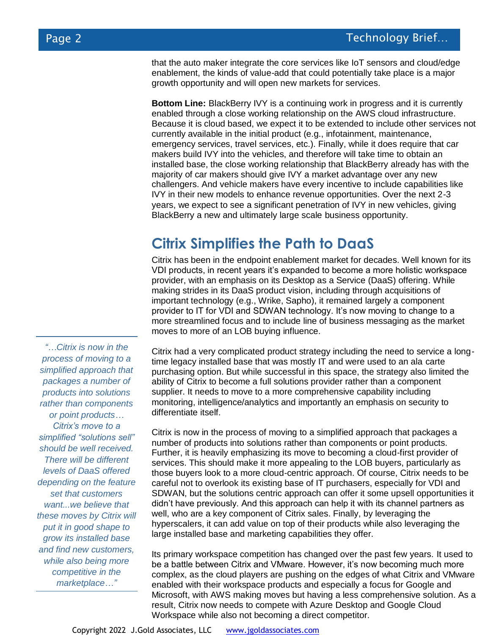that the auto maker integrate the core services like IoT sensors and cloud/edge enablement, the kinds of value-add that could potentially take place is a major growth opportunity and will open new markets for services.

**Bottom Line:** BlackBerry IVY is a continuing work in progress and it is currently enabled through a close working relationship on the AWS cloud infrastructure. Because it is cloud based, we expect it to be extended to include other services not currently available in the initial product (e.g., infotainment, maintenance, emergency services, travel services, etc.). Finally, while it does require that car makers build IVY into the vehicles, and therefore will take time to obtain an installed base, the close working relationship that BlackBerry already has with the majority of car makers should give IVY a market advantage over any new challengers. And vehicle makers have every incentive to include capabilities like IVY in their new models to enhance revenue opportunities. Over the next 2-3 years, we expect to see a significant penetration of IVY in new vehicles, giving BlackBerry a new and ultimately large scale business opportunity.

## **Citrix Simplifies the Path to DaaS**

Citrix has been in the endpoint enablement market for decades. Well known for its VDI products, in recent years it's expanded to become a more holistic workspace provider, with an emphasis on its Desktop as a Service (DaaS) offering. While making strides in its DaaS product vision, including through acquisitions of important technology (e.g., Wrike, Sapho), it remained largely a component provider to IT for VDI and SDWAN technology. It's now moving to change to a more streamlined focus and to include line of business messaging as the market moves to more of an LOB buying influence.

Citrix had a very complicated product strategy including the need to service a longtime legacy installed base that was mostly IT and were used to an ala carte purchasing option. But while successful in this space, the strategy also limited the ability of Citrix to become a full solutions provider rather than a component supplier. It needs to move to a more comprehensive capability including monitoring, intelligence/analytics and importantly an emphasis on security to differentiate itself.

Citrix is now in the process of moving to a simplified approach that packages a number of products into solutions rather than components or point products. Further, it is heavily emphasizing its move to becoming a cloud-first provider of services. This should make it more appealing to the LOB buyers, particularly as those buyers look to a more cloud-centric approach. Of course, Citrix needs to be careful not to overlook its existing base of IT purchasers, especially for VDI and SDWAN, but the solutions centric approach can offer it some upsell opportunities it didn't have previously. And this approach can help it with its channel partners as well, who are a key component of Citrix sales. Finally, by leveraging the hyperscalers, it can add value on top of their products while also leveraging the large installed base and marketing capabilities they offer.

Its primary workspace competition has changed over the past few years. It used to be a battle between Citrix and VMware. However, it's now becoming much more complex, as the cloud players are pushing on the edges of what Citrix and VMware enabled with their workspace products and especially a focus for Google and Microsoft, with AWS making moves but having a less comprehensive solution. As a result, Citrix now needs to compete with Azure Desktop and Google Cloud Workspace while also not becoming a direct competitor.

*process of moving to a simplified approach that packages a number of products into solutions rather than components or point products… Citrix's move to a simplified "solutions sell" should be well received. There will be different levels of DaaS offered depending on the feature set that customers want...we believe that these moves by Citrix will put it in good shape to grow its installed base and find new customers, while also being more competitive in the marketplace…"*

*"…Citrix is now in the*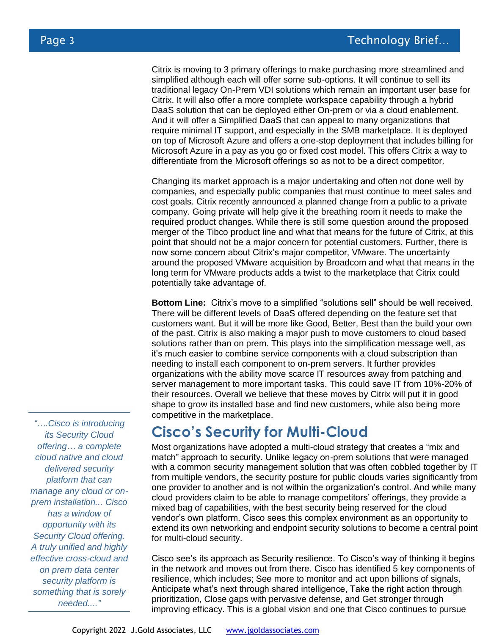Citrix is moving to 3 primary offerings to make purchasing more streamlined and simplified although each will offer some sub-options. It will continue to sell its traditional legacy On-Prem VDI solutions which remain an important user base for Citrix. It will also offer a more complete workspace capability through a hybrid DaaS solution that can be deployed either On-prem or via a cloud enablement. And it will offer a Simplified DaaS that can appeal to many organizations that require minimal IT support, and especially in the SMB marketplace. It is deployed on top of Microsoft Azure and offers a one-stop deployment that includes billing for Microsoft Azure in a pay as you go or fixed cost model. This offers Citrix a way to differentiate from the Microsoft offerings so as not to be a direct competitor.

Changing its market approach is a major undertaking and often not done well by companies, and especially public companies that must continue to meet sales and cost goals. Citrix recently announced a planned change from a public to a private company. Going private will help give it the breathing room it needs to make the required product changes. While there is still some question around the proposed merger of the Tibco product line and what that means for the future of Citrix, at this point that should not be a major concern for potential customers. Further, there is now some concern about Citrix's major competitor, VMware. The uncertainty around the proposed VMware acquisition by Broadcom and what that means in the long term for VMware products adds a twist to the marketplace that Citrix could potentially take advantage of.

**Bottom Line:** Citrix's move to a simplified "solutions sell" should be well received. There will be different levels of DaaS offered depending on the feature set that customers want. But it will be more like Good, Better, Best than the build your own of the past. Citrix is also making a major push to move customers to cloud based solutions rather than on prem. This plays into the simplification message well, as it's much easier to combine service components with a cloud subscription than needing to install each component to on-prem servers. It further provides organizations with the ability move scarce IT resources away from patching and server management to more important tasks. This could save IT from 10%-20% of their resources. Overall we believe that these moves by Citrix will put it in good shape to grow its installed base and find new customers, while also being more competitive in the marketplace.

## **Cisco's Security for Multi-Cloud**

Most organizations have adopted a multi-cloud strategy that creates a "mix and match" approach to security. Unlike legacy on-prem solutions that were managed with a common security management solution that was often cobbled together by IT from multiple vendors, the security posture for public clouds varies significantly from one provider to another and is not within the organization's control. And while many cloud providers claim to be able to manage competitors' offerings, they provide a mixed bag of capabilities, with the best security being reserved for the cloud vendor's own platform. Cisco sees this complex environment as an opportunity to extend its own networking and endpoint security solutions to become a central point for multi-cloud security.

Cisco see's its approach as Security resilience. To Cisco's way of thinking it begins in the network and moves out from there. Cisco has identified 5 key components of resilience, which includes; See more to monitor and act upon billions of signals, Anticipate what's next through shared intelligence, Take the right action through prioritization, Close gaps with pervasive defense, and Get stronger through improving efficacy. This is a global vision and one that Cisco continues to pursue

*"….Cisco is introducing its Security Cloud offering… a complete cloud native and cloud delivered security platform that can manage any cloud or onprem installation... Cisco has a window of opportunity with its Security Cloud offering. A truly unified and highly effective cross-cloud and on prem data center security platform is something that is sorely needed...."*